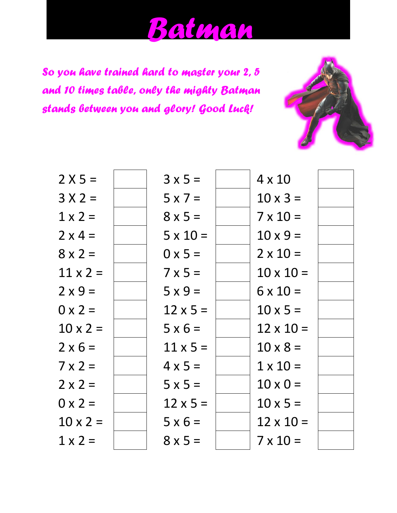## *Batman*

*So you have trained hard to master your 2, 5 and 10 times table, only the mighty Batman stands between you and glory! Good Luck!*



| $2 X 5 =$       | $3 \times 5 =$  | $4 \times 10$    |  |
|-----------------|-----------------|------------------|--|
| $3 X 2 =$       | $5 \times 7 =$  | $10 \times 3 =$  |  |
| $1 \times 2 =$  | $8 \times 5 =$  | $7 \times 10 =$  |  |
| $2 \times 4 =$  | $5 \times 10 =$ | $10 \times 9 =$  |  |
| $8 \times 2 =$  | $0 \times 5 =$  | $2 \times 10 =$  |  |
| $11 \times 2 =$ | $7 \times 5 =$  | $10 \times 10 =$ |  |
| $2 \times 9 =$  | $5x9=$          | $6 \times 10 =$  |  |
| $0 \times 2 =$  | $12 \times 5 =$ | $10 \times 5 =$  |  |
| $10 \times 2 =$ | $5 \times 6 =$  | $12 \times 10 =$ |  |
| $2 \times 6 =$  | $11 \times 5 =$ | $10 \times 8 =$  |  |
| $7 \times 2 =$  | $4 \times 5 =$  | $1 \times 10 =$  |  |
| $2 \times 2 =$  | $5 \times 5 =$  | $10 \times 0 =$  |  |
| $0 \times 2 =$  | $12 \times 5 =$ | $10 \times 5 =$  |  |
| $10 \times 2 =$ | $5 \times 6 =$  | $12 \times 10 =$ |  |
| $1 \times 2 =$  | $8 \times 5 =$  | $7 \times 10 =$  |  |